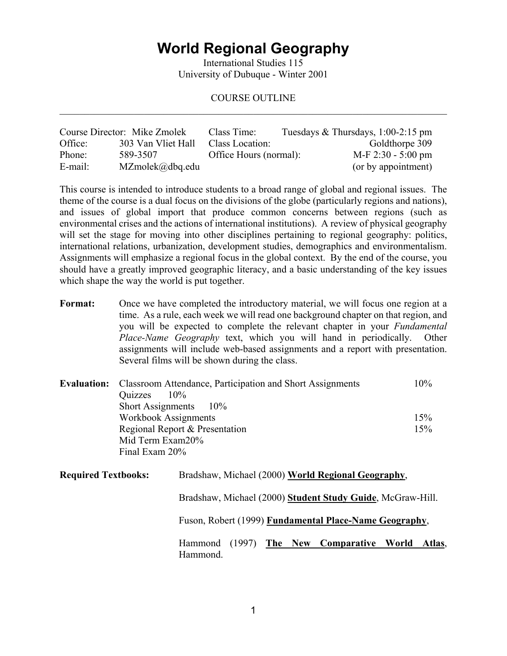## **World Regional Geography**

International Studies 115 University of Dubuque - Winter 2001

#### COURSE OUTLINE  $\mathcal{L}_\mathcal{L} = \{ \mathcal{L}_\mathcal{L} = \{ \mathcal{L}_\mathcal{L} = \{ \mathcal{L}_\mathcal{L} = \{ \mathcal{L}_\mathcal{L} = \{ \mathcal{L}_\mathcal{L} = \{ \mathcal{L}_\mathcal{L} = \{ \mathcal{L}_\mathcal{L} = \{ \mathcal{L}_\mathcal{L} = \{ \mathcal{L}_\mathcal{L} = \{ \mathcal{L}_\mathcal{L} = \{ \mathcal{L}_\mathcal{L} = \{ \mathcal{L}_\mathcal{L} = \{ \mathcal{L}_\mathcal{L} = \{ \mathcal{L}_\mathcal{$

|         | Course Director: Mike Zmolek | Class Time:            | Tuesdays & Thursdays, $1:00-2:15$ pm |  |
|---------|------------------------------|------------------------|--------------------------------------|--|
| Office: | 303 Van Vliet Hall           | Class Location:        | Goldthorpe 309                       |  |
| Phone:  | 589-3507                     | Office Hours (normal): | $M-F$ 2:30 - 5:00 pm                 |  |
| E-mail: | $MZmolek(\partial_d bq.edu)$ |                        | (or by appointment)                  |  |

This course is intended to introduce students to a broad range of global and regional issues. The theme of the course is a dual focus on the divisions of the globe (particularly regions and nations), and issues of global import that produce common concerns between regions (such as environmental crises and the actions of international institutions). A review of physical geography will set the stage for moving into other disciplines pertaining to regional geography: politics, international relations, urbanization, development studies, demographics and environmentalism. Assignments will emphasize a regional focus in the global context. By the end of the course, you should have a greatly improved geographic literacy, and a basic understanding of the key issues which shape the way the world is put together.

**Format:** Once we have completed the introductory material, we will focus one region at a time. As a rule, each week we will read one background chapter on that region, and you will be expected to complete the relevant chapter in your *Fundamental Place-Name Geography* text, which you will hand in periodically. Other assignments will include web-based assignments and a report with presentation. Several films will be shown during the class.

| <b>Evaluation:</b> Classroom Attendance, Participation and Short Assignments | 10% |
|------------------------------------------------------------------------------|-----|
| Quizzes<br>$10\%$                                                            |     |
| Short Assignments 10%                                                        |     |
| Workbook Assignments                                                         | 15% |
| Regional Report & Presentation                                               | 15% |
| Mid Term Exam20%                                                             |     |
| Final Exam 20%                                                               |     |

| <b>Required Textbooks:</b> | Bradshaw, Michael (2000) World Regional Geography,          |
|----------------------------|-------------------------------------------------------------|
|                            | Bradshaw, Michael (2000) Student Study Guide, McGraw-Hill.  |
|                            | Fuson, Robert (1999) Fundamental Place-Name Geography,      |
|                            | Hammond (1997) The New Comparative World Atlas,<br>Hammond. |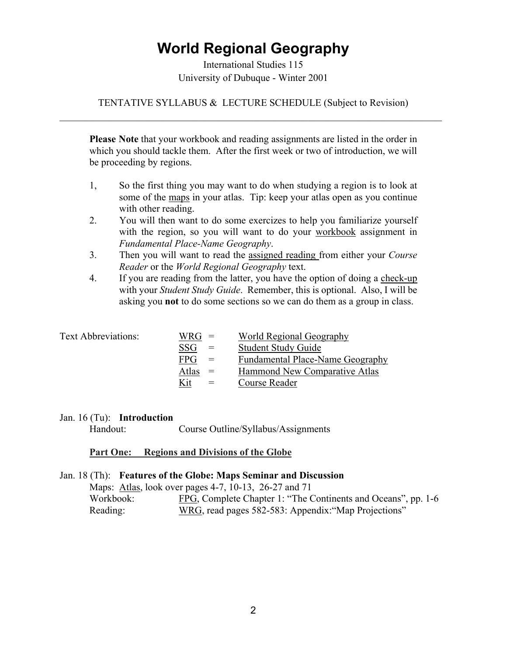# **World Regional Geography**

International Studies 115 University of Dubuque - Winter 2001

## TENTATIVE SYLLABUS & LECTURE SCHEDULE (Subject to Revision)  $\_$  , and the contribution of the contribution of the contribution of the contribution of  $\mathcal{L}_\text{max}$

**Please Note** that your workbook and reading assignments are listed in the order in which you should tackle them. After the first week or two of introduction, we will be proceeding by regions.

- 1, So the first thing you may want to do when studying a region is to look at some of the maps in your atlas. Tip: keep your atlas open as you continue with other reading.
- 2. You will then want to do some exercizes to help you familiarize yourself with the region, so you will want to do your workbook assignment in *Fundamental Place-Name Geography*.
- 3. Then you will want to read the assigned reading from either your *Course Reader* or the *World Regional Geography* text.
- 4. If you are reading from the latter, you have the option of doing a check-up with your *Student Study Guide*. Remember, this is optional. Also, I will be asking you **not** to do some sections so we can do them as a group in class.

| <b>Text Abbreviations:</b> | $WRG =$    |     | World Regional Geography                |
|----------------------------|------------|-----|-----------------------------------------|
|                            | <b>SSG</b> | $=$ | <b>Student Study Guide</b>              |
|                            | <b>FPG</b> | $=$ | <b>Fundamental Place-Name Geography</b> |
|                            | Atlas $=$  |     | Hammond New Comparative Atlas           |
|                            | Kit        | $=$ | Course Reader                           |

#### Jan. 16 (Tu): **Introduction**

Handout: Course Outline/Syllabus/Assignments

#### **Part One: Regions and Divisions of the Globe**

Jan. 18 (Th): **Features of the Globe: Maps Seminar and Discussion**  Maps: Atlas, look over pages 4-7, 10-13, 26-27 and 71 Workbook: FPG, Complete Chapter 1: "The Continents and Oceans", pp. 1-6 Reading: WRG, read pages 582-583: Appendix:"Map Projections"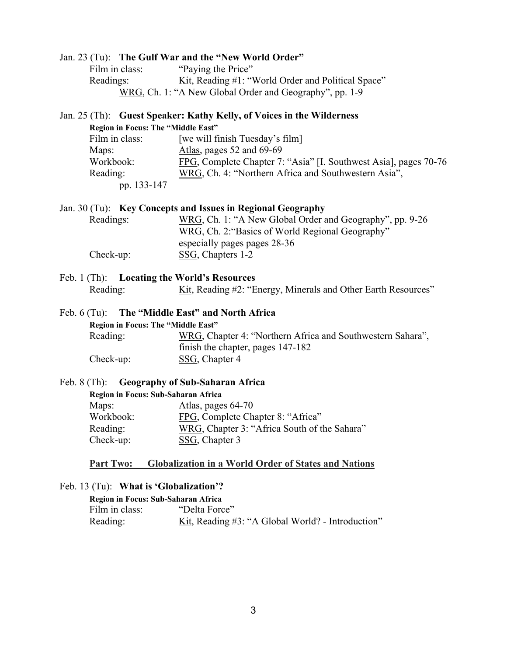|                                                 | Jan. 23 (Tu): The Gulf War and the "New World Order"                  |
|-------------------------------------------------|-----------------------------------------------------------------------|
| Film in class:                                  | "Paying the Price"                                                    |
| Readings:                                       | Kit, Reading #1: "World Order and Political Space"                    |
|                                                 | WRG, Ch. 1: "A New Global Order and Geography", pp. 1-9               |
|                                                 | Jan. 25 (Th): Guest Speaker: Kathy Kelly, of Voices in the Wilderness |
| Region in Focus: The "Middle East"              |                                                                       |
| Film in class:                                  | [we will finish Tuesday's film]                                       |
| Maps:                                           | Atlas, pages 52 and 69-69                                             |
| Workbook:                                       | FPG, Complete Chapter 7: "Asia" [I. Southwest Asia], pages 70-76      |
| Reading:                                        | WRG, Ch. 4: "Northern Africa and Southwestern Asia",                  |
| pp. 133-147                                     |                                                                       |
|                                                 | Jan. 30 (Tu): Key Concepts and Issues in Regional Geography           |
| Readings:                                       | WRG, Ch. 1: "A New Global Order and Geography", pp. 9-26              |
|                                                 | WRG, Ch. 2: "Basics of World Regional Geography"                      |
|                                                 | especially pages pages 28-36                                          |
| Check-up:                                       | SSG, Chapters 1-2                                                     |
| Feb. 1 (Th): Locating the World's Resources     |                                                                       |
| Reading:                                        | Kit, Reading #2: "Energy, Minerals and Other Earth Resources"         |
| Feb. 6 (Tu): The "Middle East" and North Africa |                                                                       |
| Region in Focus: The "Middle East"              |                                                                       |
| Reading:                                        | WRG, Chapter 4: "Northern Africa and Southwestern Sahara",            |
|                                                 | finish the chapter, pages 147-182                                     |
| $Check-up:$                                     | SSG, Chapter 4                                                        |
| Feb. 8 (Th): Geography of Sub-Saharan Africa    |                                                                       |
| Region in Focus: Sub-Saharan Africa             |                                                                       |
| Maps:                                           | Atlas, pages 64-70                                                    |
| Workbook:                                       | FPG, Complete Chapter 8: "Africa"                                     |
| Reading:                                        | WRG, Chapter 3: "Africa South of the Sahara"                          |
| Check-up:                                       | SSG, Chapter 3                                                        |
| <b>Part Two:</b>                                | <b>Globalization in a World Order of States and Nations</b>           |
| Feb. 13 (Tu): What is 'Globalization'?          |                                                                       |
| Region in Focus: Sub-Saharan Africa             |                                                                       |
| Film in class:                                  | "Delta Force"                                                         |
| Reading:                                        | Kit, Reading #3: "A Global World? - Introduction"                     |
|                                                 |                                                                       |
|                                                 |                                                                       |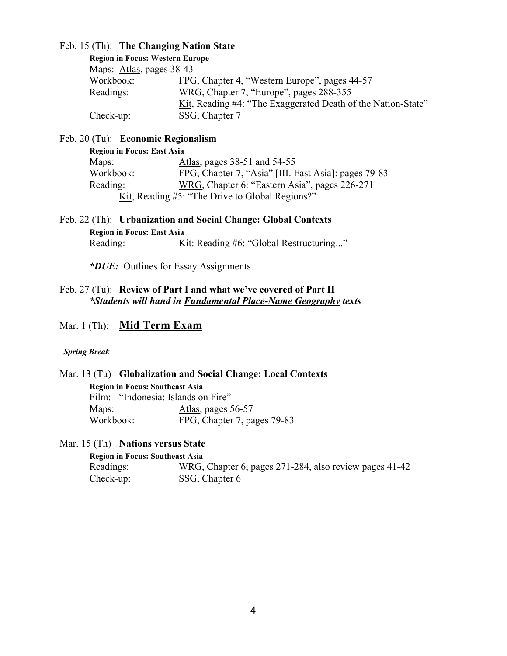#### Feb. 15 (Th): **The Changing Nation State**

| <b>Region in Focus: Western Europe</b> |                                                              |
|----------------------------------------|--------------------------------------------------------------|
| Maps: Atlas, pages 38-43               |                                                              |
| Workbook:                              | FPG, Chapter 4, "Western Europe", pages 44-57                |
| Readings:                              | WRG, Chapter 7, "Europe", pages 288-355                      |
|                                        | Kit, Reading #4: "The Exaggerated Death of the Nation-State" |
| $Check-up:$                            | SSG, Chapter 7                                               |

#### Feb. 20 (Tu): **Economic Regionalism**

| <b>Region in Focus: East Asia</b> |                                                      |
|-----------------------------------|------------------------------------------------------|
| Maps:                             | Atlas, pages 38-51 and 54-55                         |
| Workbook:                         | FPG, Chapter 7, "Asia" [III. East Asia]: pages 79-83 |
| Reading:                          | WRG, Chapter 6: "Eastern Asia", pages 226-271        |
|                                   | Kit, Reading #5: "The Drive to Global Regions?"      |

Feb. 22 (Th): **Urbanization and Social Change: Global Contexts Region in Focus: East Asia** Reading: Kit: Reading #6: "Global Restructuring..."

*\*DUE:* Outlines for Essay Assignments.

### Feb. 27 (Tu): **Review of Part I and what we've covered of Part II** *\*Students will hand in Fundamental Place-Name Geography texts*

## Mar. 1 (Th): **Mid Term Exam**

#### *Spring Break*

Mar. 13 (Tu) **Globalization and Social Change: Local Contexts Region in Focus: Southeast Asia** Film: "Indonesia: Islands on Fire" Maps: Atlas, pages 56-57 Workbook: FPG, Chapter 7, pages 79-83

Mar. 15 (Th) **Nations versus State** 

**Region in Focus: Southeast Asia** Readings: WRG, Chapter 6, pages 271-284, also review pages 41-42 Check-up: SSG, Chapter 6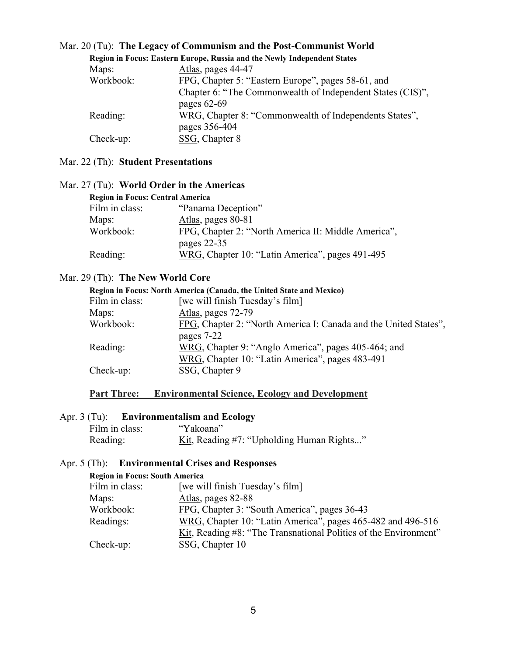|             | Region in Focus: Eastern Europe, Russia and the Newly Independent States |
|-------------|--------------------------------------------------------------------------|
| Maps:       | Atlas, pages 44-47                                                       |
| Workbook:   | FPG, Chapter 5: "Eastern Europe", pages 58-61, and                       |
|             | Chapter 6: "The Commonwealth of Independent States (CIS)",               |
|             | pages $62-69$                                                            |
| Reading:    | WRG, Chapter 8: "Commonwealth of Independents States",                   |
|             | pages 356-404                                                            |
| $Check-up:$ | SSG, Chapter 8                                                           |

## Mar. 20 (Tu): **The Legacy of Communism and the Post-Communist World**

## Mar. 22 (Th): **Student Presentations**

| <b>Region in Focus: Central America</b> |                                                                    |
|-----------------------------------------|--------------------------------------------------------------------|
| Film in class:                          | "Panama Deception"                                                 |
| Maps:                                   | Atlas, pages 80-81                                                 |
| Workbook:                               | FPG, Chapter 2: "North America II: Middle America",<br>pages 22-35 |
| Reading:                                | WRG, Chapter 10: "Latin America", pages 491-495                    |

### Mar. 27 (Tu): **World Order in the Americas**

## Mar. 29 (Th): **The New World Core**

| Region in Focus: North America (Canada, the United State and Mexico) |                                                                                |  |
|----------------------------------------------------------------------|--------------------------------------------------------------------------------|--|
| Film in class:                                                       | [we will finish Tuesday's film]                                                |  |
| Maps:                                                                | Atlas, pages 72-79                                                             |  |
| Workbook:                                                            | FPG, Chapter 2: "North America I: Canada and the United States",<br>pages 7-22 |  |
| Reading:                                                             | WRG, Chapter 9: "Anglo America", pages 405-464; and                            |  |
| $Check-up:$                                                          | WRG, Chapter 10: "Latin America", pages 483-491<br>SSG, Chapter 9              |  |

## **Part Three: Environmental Science, Ecology and Development**

## Apr. 3 (Tu): **Environmentalism and Ecology**

| Film in class: | "Yakoana"                                 |
|----------------|-------------------------------------------|
| Reading:       | Kit, Reading #7: "Upholding Human Rights" |

## Apr. 5 (Th): **Environmental Crises and Responses**

| <b>Region in Focus: South America</b> |                                                                  |
|---------------------------------------|------------------------------------------------------------------|
| Film in class:                        | [we will finish Tuesday's film]                                  |
| Maps:                                 | Atlas, pages 82-88                                               |
| Workbook:                             | FPG, Chapter 3: "South America", pages 36-43                     |
| Readings:                             | WRG, Chapter 10: "Latin America", pages 465-482 and 496-516      |
|                                       | Kit, Reading #8: "The Transnational Politics of the Environment" |
| Check-up:                             | SSG, Chapter 10                                                  |
|                                       |                                                                  |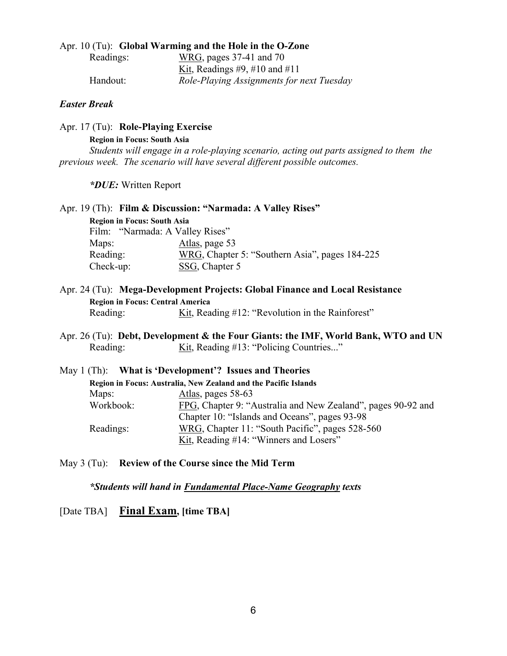#### Apr. 10 (Tu): **Global Warming and the Hole in the O-Zone**

| Readings: | WRG, pages 37-41 and 70                   |
|-----------|-------------------------------------------|
|           | Kit, Readings #9, #10 and #11             |
| Handout:  | Role-Playing Assignments for next Tuesday |

#### *Easter Break*

Apr. 17 (Tu): **Role-Playing Exercise** 

 **Region in Focus: South Asia**

*Students will engage in a role-playing scenario, acting out parts assigned to them the previous week. The scenario will have several different possible outcomes.* 

 *\*DUE:* Written Report

|                                    | Apr. 19 (Th): Film & Discussion: "Narmada: A Valley Rises" |  |
|------------------------------------|------------------------------------------------------------|--|
| <b>Region in Focus: South Asia</b> |                                                            |  |
|                                    | Film: "Narmada: A Valley Rises"                            |  |
| Maps:                              | Atlas, page 53                                             |  |
| Reading:                           | WRG, Chapter 5: "Southern Asia", pages 184-225             |  |
| Check-up:                          | SSG, Chapter 5                                             |  |

- Apr. 24 (Tu): **Mega-Development Projects: Global Finance and Local Resistance Region in Focus: Central America** Reading: Kit, Reading #12: "Revolution in the Rainforest"
- Apr. 26 (Tu): **Debt, Development & the Four Giants: the IMF, World Bank, WTO and UN** Reading: Kit, Reading #13: "Policing Countries..."

|                                                                 |  | May 1 (Th): What is 'Development'? Issues and Theories       |
|-----------------------------------------------------------------|--|--------------------------------------------------------------|
| Region in Focus: Australia, New Zealand and the Pacific Islands |  |                                                              |
| Maps:                                                           |  | Atlas, pages 58-63                                           |
| Workbook:                                                       |  | FPG, Chapter 9: "Australia and New Zealand", pages 90-92 and |
|                                                                 |  | Chapter 10: "Islands and Oceans", pages 93-98                |
| Readings:                                                       |  | WRG, Chapter 11: "South Pacific", pages 528-560              |
|                                                                 |  | Kit, Reading #14: "Winners and Losers"                       |

May 3 (Tu): **Review of the Course since the Mid Term**

*\*Students will hand in Fundamental Place-Name Geography texts*

[Date TBA] **Final Exam, [time TBA]**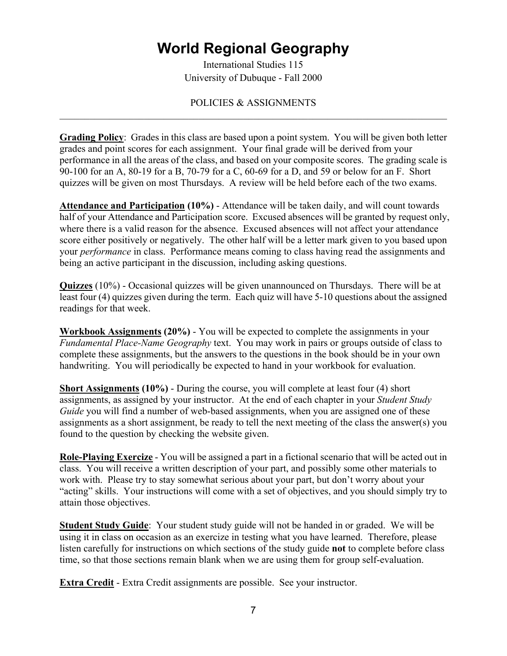# **World Regional Geography**

International Studies 115 University of Dubuque - Fall 2000

### POLICIES & ASSIGNMENTS  $\mathcal{L}_\mathcal{L} = \{ \mathcal{L}_\mathcal{L} = \{ \mathcal{L}_\mathcal{L} = \{ \mathcal{L}_\mathcal{L} = \{ \mathcal{L}_\mathcal{L} = \{ \mathcal{L}_\mathcal{L} = \{ \mathcal{L}_\mathcal{L} = \{ \mathcal{L}_\mathcal{L} = \{ \mathcal{L}_\mathcal{L} = \{ \mathcal{L}_\mathcal{L} = \{ \mathcal{L}_\mathcal{L} = \{ \mathcal{L}_\mathcal{L} = \{ \mathcal{L}_\mathcal{L} = \{ \mathcal{L}_\mathcal{L} = \{ \mathcal{L}_\mathcal{$

**Grading Policy**: Grades in this class are based upon a point system. You will be given both letter grades and point scores for each assignment. Your final grade will be derived from your performance in all the areas of the class, and based on your composite scores. The grading scale is 90-100 for an A, 80-19 for a B, 70-79 for a C, 60-69 for a D, and 59 or below for an F. Short quizzes will be given on most Thursdays. A review will be held before each of the two exams.

**Attendance and Participation (10%)** - Attendance will be taken daily, and will count towards half of your Attendance and Participation score. Excused absences will be granted by request only, where there is a valid reason for the absence. Excused absences will not affect your attendance score either positively or negatively. The other half will be a letter mark given to you based upon your *performance* in class. Performance means coming to class having read the assignments and being an active participant in the discussion, including asking questions.

**Quizzes** (10%) - Occasional quizzes will be given unannounced on Thursdays. There will be at least four (4) quizzes given during the term. Each quiz will have 5-10 questions about the assigned readings for that week.

**Workbook Assignments (20%)** - You will be expected to complete the assignments in your *Fundamental Place-Name Geography* text. You may work in pairs or groups outside of class to complete these assignments, but the answers to the questions in the book should be in your own handwriting. You will periodically be expected to hand in your workbook for evaluation.

**Short Assignments (10%)** - During the course, you will complete at least four (4) short assignments, as assigned by your instructor. At the end of each chapter in your *Student Study Guide* you will find a number of web-based assignments, when you are assigned one of these assignments as a short assignment, be ready to tell the next meeting of the class the answer(s) you found to the question by checking the website given.

**Role-Playing Exercize** - You will be assigned a part in a fictional scenario that will be acted out in class. You will receive a written description of your part, and possibly some other materials to work with. Please try to stay somewhat serious about your part, but don't worry about your "acting" skills. Your instructions will come with a set of objectives, and you should simply try to attain those objectives.

**Student Study Guide**: Your student study guide will not be handed in or graded. We will be using it in class on occasion as an exercize in testing what you have learned. Therefore, please listen carefully for instructions on which sections of the study guide **not** to complete before class time, so that those sections remain blank when we are using them for group self-evaluation.

**Extra Credit** - Extra Credit assignments are possible. See your instructor.